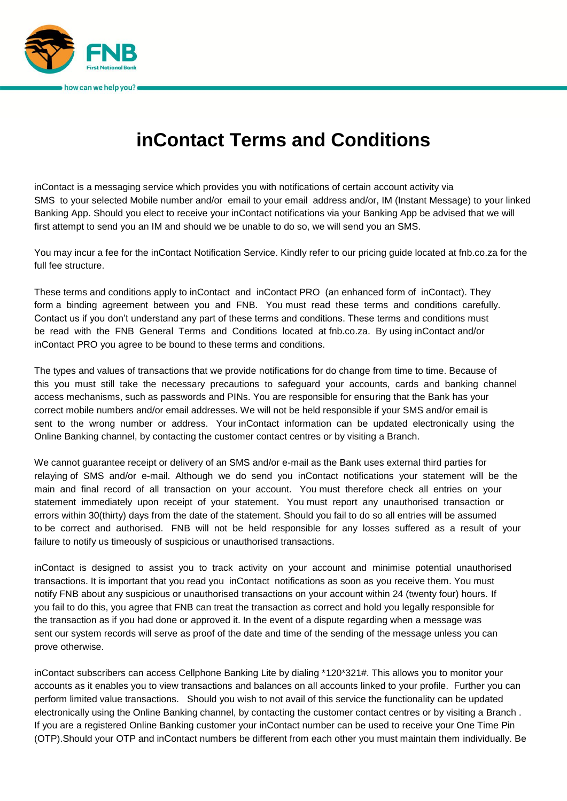

## **inContact Terms and Conditions**

inContact is a messaging service which provides you with notifications of certain account activity via SMS to your selected Mobile number and/or email to your email address and/or, IM (Instant Message) to your linked Banking App. Should you elect to receive your inContact notifications via your Banking App be advised that we will first attempt to send you an IM and should we be unable to do so, we will send you an SMS.

You may incur a fee for the inContact Notification Service. Kindly refer to our pricing guide located at fnb.co.za for the full fee structure.

These terms and conditions apply to inContact and inContact PRO (an enhanced form of inContact). They form a binding agreement between you and FNB. You must read these terms and conditions carefully. Contact us if you don't understand any part of these terms and conditions. These terms and conditions must be read with the FNB General Terms and Conditions located at fnb.co.za. By using inContact and/or inContact PRO you agree to be bound to these terms and conditions.

The types and values of transactions that we provide notifications for do change from time to time. Because of this you must still take the necessary precautions to safeguard your accounts, cards and banking channel access mechanisms, such as passwords and PINs. You are responsible for ensuring that the Bank has your correct mobile numbers and/or email addresses. We will not be held responsible if your SMS and/or email is sent to the wrong number or address. Your inContact information can be updated electronically using the Online Banking channel, by contacting the customer contact centres or by visiting a Branch.

We cannot guarantee receipt or delivery of an SMS and/or e-mail as the Bank uses external third parties for relaying of SMS and/or e-mail. Although we do send you inContact notifications your statement will be the main and final record of all transaction on your account. You must therefore check all entries on your statement immediately upon receipt of your statement. You must report any unauthorised transaction or errors within 30(thirty) days from the date of the statement. Should you fail to do so all entries will be assumed to be correct and authorised. FNB will not be held responsible for any losses suffered as a result of your failure to notify us timeously of suspicious or unauthorised transactions.

inContact is designed to assist you to track activity on your account and minimise potential unauthorised transactions. It is important that you read you inContact notifications as soon as you receive them. You must notify FNB about any suspicious or unauthorised transactions on your account within 24 (twenty four) hours. If you fail to do this, you agree that FNB can treat the transaction as correct and hold you legally responsible for the transaction as if you had done or approved it. In the event of a dispute regarding when a message was sent our system records will serve as proof of the date and time of the sending of the message unless you can prove otherwise.

inContact subscribers can access Cellphone Banking Lite by dialing \*120\*321#. This allows you to monitor your accounts as it enables you to view transactions and balances on all accounts linked to your profile. Further you can perform limited value transactions. Should you wish to not avail of this service the functionality can be updated electronically using the Online Banking channel, by contacting the customer contact centres or by visiting a Branch . If you are a registered Online Banking customer your inContact number can be used to receive your One Time Pin (OTP).Should your OTP and inContact numbers be different from each other you must maintain them individually. Be